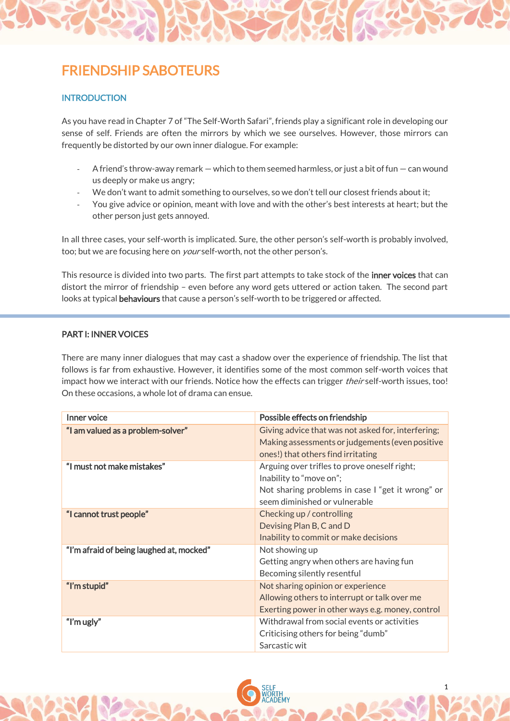## FRIENDSHIP SABOTEURS

## **INTRODUCTION**

As you have read in Chapter 7 of "The Self-Worth Safari", friends play a significant role in developing our sense of self. Friends are often the mirrors by which we see ourselves. However, those mirrors can frequently be distorted by our own inner dialogue. For example:

- A friend's throw-away remark which to them seemed harmless, or just a bit of fun can wound us deeply or make us angry;
- We don't want to admit something to ourselves, so we don't tell our closest friends about it;
- You give advice or opinion, meant with love and with the other's best interests at heart; but the other person just gets annoyed.

In all three cases, your self-worth is implicated. Sure, the other person's self-worth is probably involved, too; but we are focusing here on *your* self-worth, not the other person's.

This resource is divided into two parts. The first part attempts to take stock of the inner voices that can distort the mirror of friendship – even before any word gets uttered or action taken. The second part looks at typical behaviours that cause a person's self-worth to be triggered or affected.

## PART I: INNER VOICES

There are many inner dialogues that may cast a shadow over the experience of friendship. The list that follows is far from exhaustive. However, it identifies some of the most common self-worth voices that impact how we interact with our friends. Notice how the effects can trigger *their* self-worth issues, too! On these occasions, a whole lot of drama can ensue.

| Inner voice                              | Possible effects on friendship                                                                                                                               |
|------------------------------------------|--------------------------------------------------------------------------------------------------------------------------------------------------------------|
| "I am valued as a problem-solver"        | Giving advice that was not asked for, interfering;<br>Making assessments or judgements (even positive<br>ones!) that others find irritating                  |
| "I must not make mistakes"               | Arguing over trifles to prove oneself right;<br>Inability to "move on";<br>Not sharing problems in case I "get it wrong" or<br>seem diminished or vulnerable |
| "I cannot trust people"                  | Checking up / controlling<br>Devising Plan B, C and D<br>Inability to commit or make decisions                                                               |
| "I'm afraid of being laughed at, mocked" | Not showing up<br>Getting angry when others are having fun<br>Becoming silently resentful                                                                    |
| "I'm stupid"                             | Not sharing opinion or experience<br>Allowing others to interrupt or talk over me<br>Exerting power in other ways e.g. money, control                        |
| "I'm ugly"                               | Withdrawal from social events or activities<br>Criticising others for being "dumb"<br>Sarcastic wit                                                          |

1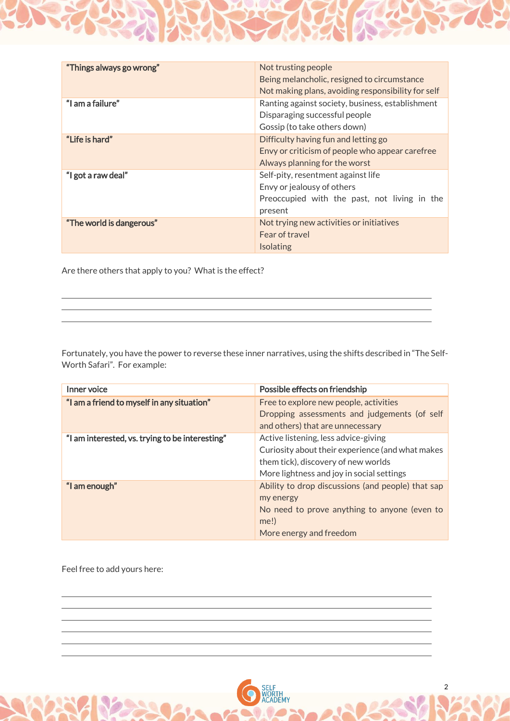| "Things always go wrong" | Not trusting people                                |
|--------------------------|----------------------------------------------------|
|                          | Being melancholic, resigned to circumstance        |
|                          | Not making plans, avoiding responsibility for self |
| "I am a failure"         | Ranting against society, business, establishment   |
|                          | Disparaging successful people                      |
|                          | Gossip (to take others down)                       |
| "Life is hard"           | Difficulty having fun and letting go               |
|                          | Envy or criticism of people who appear carefree    |
|                          | Always planning for the worst                      |
| "I got a raw deal"       | Self-pity, resentment against life                 |
|                          | Envy or jealousy of others                         |
|                          | Preoccupied with the past, not living in the       |
|                          | present                                            |
| "The world is dangerous" | Not trying new activities or initiatives           |
|                          | Fear of travel                                     |
|                          | <b>Isolating</b>                                   |

Are there others that apply to you? What is the effect?

Fortunately, you have the power to reverse these inner narratives, using the shifts described in "The Self-Worth Safari". For example:

| Inner voice                                     | Possible effects on friendship                                                   |
|-------------------------------------------------|----------------------------------------------------------------------------------|
| "I am a friend to myself in any situation"      | Free to explore new people, activities                                           |
|                                                 | Dropping assessments and judgements (of self<br>and others) that are unnecessary |
|                                                 |                                                                                  |
| "I am interested, vs. trying to be interesting" | Active listening, less advice-giving                                             |
|                                                 | Curiosity about their experience (and what makes                                 |
|                                                 | them tick), discovery of new worlds                                              |
|                                                 | More lightness and joy in social settings                                        |
| "I am enough"                                   | Ability to drop discussions (and people) that sap                                |
|                                                 | my energy                                                                        |
|                                                 | No need to prove anything to anyone (even to                                     |
|                                                 | me!)                                                                             |
|                                                 | More energy and freedom                                                          |

2

Feel free to add yours here: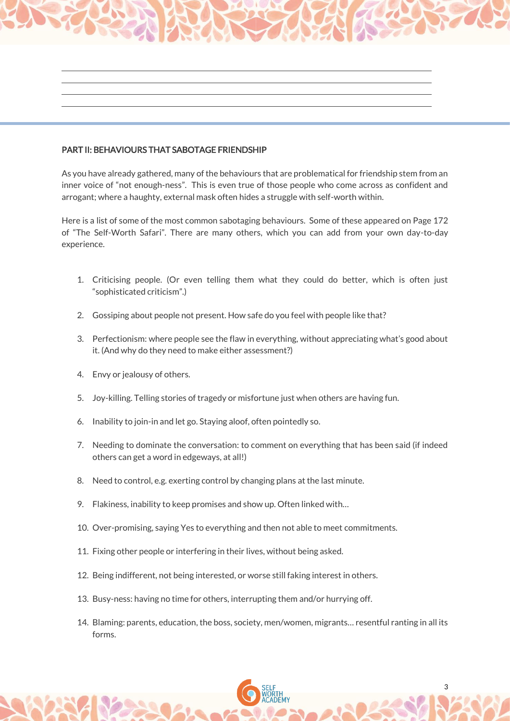## PART II: BEHAVIOURS THAT SABOTAGE FRIENDSHIP

As you have already gathered, many of the behaviours that are problematical for friendship stem from an inner voice of "not enough-ness". This is even true of those people who come across as confident and arrogant; where a haughty, external mask often hides a struggle with self-worth within.

Here is a list of some of the most common sabotaging behaviours. Some of these appeared on Page 172 of "The Self-Worth Safari". There are many others, which you can add from your own day-to-day experience.

- 1. Criticising people. (Or even telling them what they could do better, which is often just "sophisticated criticism".)
- 2. Gossiping about people not present. How safe do you feel with people like that?
- 3. Perfectionism: where people see the flaw in everything, without appreciating what's good about it. (And why do they need to make either assessment?)
- 4. Envy or jealousy of others.
- 5. Joy-killing. Telling stories of tragedy or misfortune just when others are having fun.
- 6. Inability to join-in and let go. Staying aloof, often pointedly so.
- 7. Needing to dominate the conversation: to comment on everything that has been said (if indeed others can get a word in edgeways, at all!)
- 8. Need to control, e.g. exerting control by changing plans at the last minute.
- 9. Flakiness, inability to keep promises and show up. Often linked with…
- 10. Over-promising, saying Yes to everything and then not able to meet commitments.
- 11. Fixing other people or interfering in their lives, without being asked.
- 12. Being indifferent, not being interested, or worse still faking interest in others.
- 13. Busy-ness: having no time for others, interrupting them and/or hurrying off.
- 14. Blaming: parents, education, the boss, society, men/women, migrants… resentful ranting in all its forms.

3